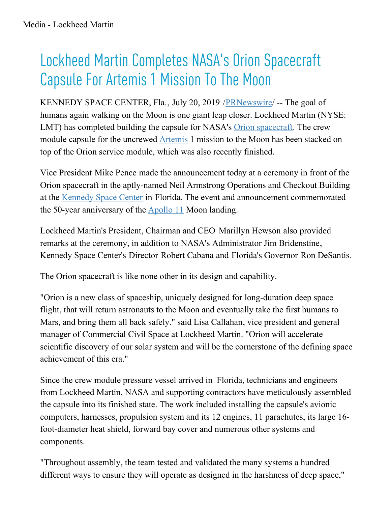## Lockheed Martin Completes NASA's Orion Spacecraft Capsule For Artemis 1 Mission To The Moon

KENNEDY SPACE CENTER, Fla., July 20, 2019 [/PRNewswire](http://www.prnewswire.com/)/ -- The goal of humans again walking on the Moon is one giant leap closer. Lockheed Martin (NYSE: LMT) has completed building the capsule for NASA's Orion [spacecraft](https://c212.net/c/link/?t=0&l=en&o=2530244-1&h=2871881865&u=https%3A%2F%2Fwww.lockheedmartin.com%2Fen-us%2Fproducts%2Forion.html&a=Orion+spacecraft). The crew module capsule for the uncrewed **[Artemis](https://c212.net/c/link/?t=0&l=en&o=2530244-1&h=3353092550&u=https%3A%2F%2Fwww.nasa.gov%2Fartemis&a=Artemis)** 1 mission to the Moon has been stacked on top of the Orion service module, which was also recently finished.

Vice President Mike Pence made the announcement today at a ceremony in front of the Orion spacecraft in the aptly-named Neil Armstrong Operations and Checkout Building at the [Kennedy](https://c212.net/c/link/?t=0&l=en&o=2530244-1&h=744029201&u=https%3A%2F%2Fwww.nasa.gov%2Fcenters%2Fkennedy%2Fhome%2Findex.html&a=Kennedy+Space+Center) Space Center in Florida. The event and announcement commemorated the 50-year anniversary of the **[Apollo](https://c212.net/c/link/?t=0&l=en&o=2530244-1&h=3791516402&u=https%3A%2F%2Fwww.nasa.gov%2Fspecials%2Fapollo50th%2Findex.html&a=Apollo+11) 11** Moon landing.

Lockheed Martin's President, Chairman and CEO Marillyn Hewson also provided remarks at the ceremony, in addition to NASA's Administrator Jim Bridenstine, Kennedy Space Center's Director Robert Cabana and Florida's Governor Ron DeSantis.

The Orion spacecraft is like none other in its design and capability.

"Orion is a new class of spaceship, uniquely designed for long-duration deep space flight, that will return astronauts to the Moon and eventually take the first humans to Mars, and bring them all back safely." said Lisa Callahan, vice president and general manager of Commercial Civil Space at Lockheed Martin. "Orion will accelerate scientific discovery of our solar system and will be the cornerstone of the defining space achievement of this era."

Since the crew module pressure vessel arrived in Florida, technicians and engineers from Lockheed Martin, NASA and supporting contractors have meticulously assembled the capsule into its finished state. The work included installing the capsule's avionic computers, harnesses, propulsion system and its 12 engines, 11 parachutes, its large 16 foot-diameter heat shield, forward bay cover and numerous other systems and components.

"Throughout assembly, the team tested and validated the many systems a hundred different ways to ensure they will operate as designed in the harshness of deep space,"